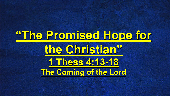#### **"The Promised Hope for the Christian" 1 Thess 4:13-18 The Coming of the Lord**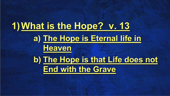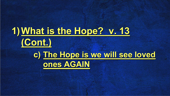#### **1)What is the Hope? v. 13 (Cont.) c) The Hope is we will see loved ones AGAIN**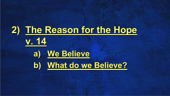#### **2) The Reason for the Hope v. 14 a) We Believe b) What do we Believe?**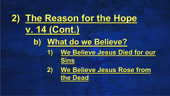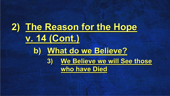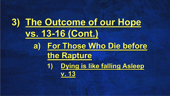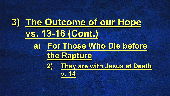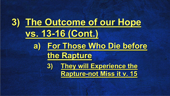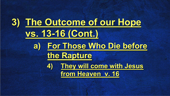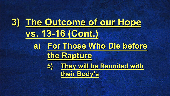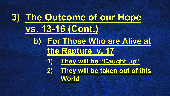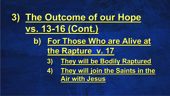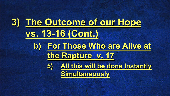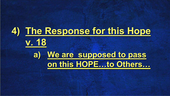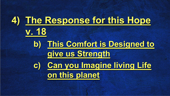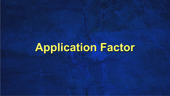#### **Application Factor**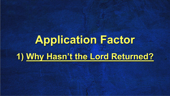### **Application Factor 1) Why Hasn't the Lord Returned?**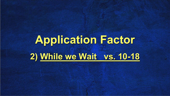### **Application Factor 2) While we Wait vs. 10-18**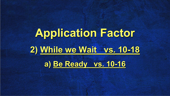# **Application Factor 2) While we Wait vs. 10-18**

**a) Be Ready vs. 10-16**